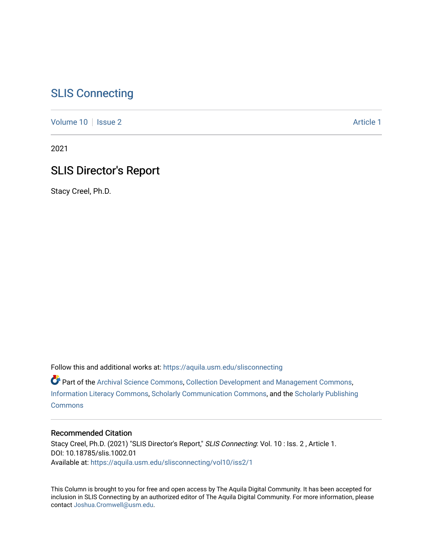## [SLIS Connecting](https://aquila.usm.edu/slisconnecting)

[Volume 10](https://aquila.usm.edu/slisconnecting/vol10) | [Issue 2](https://aquila.usm.edu/slisconnecting/vol10/iss2) Article 1

2021

## SLIS Director's Report

Stacy Creel, Ph.D.

Follow this and additional works at: [https://aquila.usm.edu/slisconnecting](https://aquila.usm.edu/slisconnecting?utm_source=aquila.usm.edu%2Fslisconnecting%2Fvol10%2Fiss2%2F1&utm_medium=PDF&utm_campaign=PDFCoverPages) 

Part of the [Archival Science Commons,](http://network.bepress.com/hgg/discipline/1021?utm_source=aquila.usm.edu%2Fslisconnecting%2Fvol10%2Fiss2%2F1&utm_medium=PDF&utm_campaign=PDFCoverPages) [Collection Development and Management Commons,](http://network.bepress.com/hgg/discipline/1271?utm_source=aquila.usm.edu%2Fslisconnecting%2Fvol10%2Fiss2%2F1&utm_medium=PDF&utm_campaign=PDFCoverPages) [Information Literacy Commons,](http://network.bepress.com/hgg/discipline/1243?utm_source=aquila.usm.edu%2Fslisconnecting%2Fvol10%2Fiss2%2F1&utm_medium=PDF&utm_campaign=PDFCoverPages) [Scholarly Communication Commons](http://network.bepress.com/hgg/discipline/1272?utm_source=aquila.usm.edu%2Fslisconnecting%2Fvol10%2Fiss2%2F1&utm_medium=PDF&utm_campaign=PDFCoverPages), and the [Scholarly Publishing](http://network.bepress.com/hgg/discipline/1273?utm_source=aquila.usm.edu%2Fslisconnecting%2Fvol10%2Fiss2%2F1&utm_medium=PDF&utm_campaign=PDFCoverPages)  **[Commons](http://network.bepress.com/hgg/discipline/1273?utm_source=aquila.usm.edu%2Fslisconnecting%2Fvol10%2Fiss2%2F1&utm_medium=PDF&utm_campaign=PDFCoverPages)** 

## Recommended Citation

Stacy Creel, Ph.D. (2021) "SLIS Director's Report," SLIS Connecting: Vol. 10 : Iss. 2, Article 1. DOI: 10.18785/slis.1002.01 Available at: [https://aquila.usm.edu/slisconnecting/vol10/iss2/1](https://aquila.usm.edu/slisconnecting/vol10/iss2/1?utm_source=aquila.usm.edu%2Fslisconnecting%2Fvol10%2Fiss2%2F1&utm_medium=PDF&utm_campaign=PDFCoverPages) 

This Column is brought to you for free and open access by The Aquila Digital Community. It has been accepted for inclusion in SLIS Connecting by an authorized editor of The Aquila Digital Community. For more information, please contact [Joshua.Cromwell@usm.edu.](mailto:Joshua.Cromwell@usm.edu)